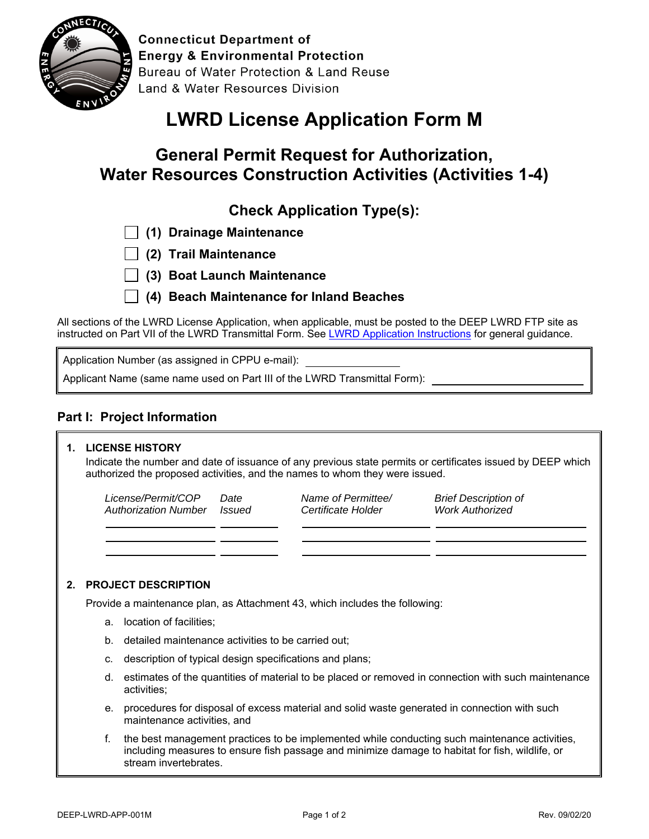

**Connecticut Department of Energy & Environmental Protection** Bureau of Water Protection & Land Reuse **Land & Water Resources Division** 

# **LWRD License Application Form M**

# **General Permit Request for Authorization, Water Resources Construction Activities (Activities 1-4)**

**Check Application Type(s):** 

|  |  |  | $\Box$ (1) Drainage Maintenance |
|--|--|--|---------------------------------|
|--|--|--|---------------------------------|

- **(2) Trail Maintenance**
- **(3) Boat Launch Maintenance**

 **(4) Beach Maintenance for Inland Beaches**

All sections of the LWRD License Application, when applicable, must be posted to the DEEP LWRD FTP site as instructed on Part VII of the LWRD Transmittal Form. See LWRD Application Instructions for general guidance.

Application Number (as assigned in CPPU e-mail):

Applicant Name (same name used on Part III of the LWRD Transmittal Form):

### **Part I: Project Information**

#### **1. LICENSE HISTORY**

Indicate the number and date of issuance of any previous state permits or certificates issued by DEEP which authorized the proposed activities, and the names to whom they were issued.

*License/Permit/COP Authorization Number Issued Date* 

*Name of Permittee/ Certificate Holder* 

*Brief Description of Work Authorized* 

#### **2. PROJECT DESCRIPTION**

Provide a maintenance plan, as Attachment 43, which includes the following:

- a. location of facilities;
- b. detailed maintenance activities to be carried out;
- c. description of typical design specifications and plans;
- d. estimates of the quantities of material to be placed or removed in connection with such maintenance activities;
- e. procedures for disposal of excess material and solid waste generated in connection with such maintenance activities, and
- f. the best management practices to be implemented while conducting such maintenance activities, including measures to ensure fish passage and minimize damage to habitat for fish, wildlife, or stream invertebrates.